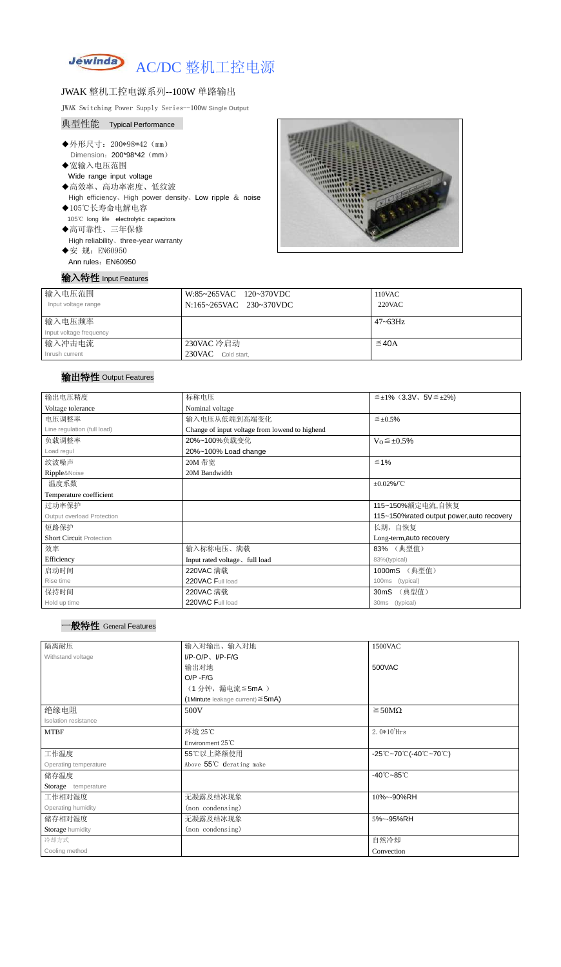

#### JWAK 整机工控电源系列--100W 单路输出

JWAK Switching Power Supply Series--100**W Single Output**

## 典型性能 Typical Performance

- ◆外形尺寸: 200\*98\*42 (mm) Dimension: 200\*98\*42 (mm)
- ◆宽输入电压范围 Wide range input voltage
- ◆高效率、高功率密度、低纹波 High efficiency、High power density、Low ripple & noise
- ◆105℃长寿命电解电容 105℃ long life electrolytic capacitors ◆高可靠性、三年保修
- High reliability、three-year warranty
- ◆安 规: EN60950 Ann rules: EN60950



|  | 输入特性 Input Features |
|--|---------------------|
|--|---------------------|

| 输入电压范围                  | W:85~265VAC 120~370VDC  | 110VAC          |
|-------------------------|-------------------------|-----------------|
| Input voltage range     | N:165~265VAC 230~370VDC | <b>220VAC</b>   |
|                         |                         |                 |
| 输入电压频率                  |                         | $47 \sim 63$ Hz |
| Input voltage frequency |                         |                 |
| 输入冲击电流                  | 230VAC 冷启动              | $\leq$ 40A      |
| Inrush current          | 230VAC Cold start,      |                 |

# 输出特性 Output Features

## 一般特性 General Features

| 输出电压精度                          | 标称电压                                           | $\leq \pm 1\%$ (3.3V, 5V $\leq \pm 2\%$ )  |
|---------------------------------|------------------------------------------------|--------------------------------------------|
| Voltage tolerance               | Nominal voltage                                |                                            |
| 电压调整率                           | 输入电压从低端到高端变化                                   | $\leq \pm 0.5\%$                           |
| Line regulation (full load)     | Change of input voltage from lowend to highend |                                            |
| 负载调整率                           | 20%~100%负载变化                                   | $V_0 \leq \pm 0.5\%$                       |
| Load regul                      | 20%~100% Load change                           |                                            |
| 纹波噪声                            | 20M 带宽                                         | $\leq 1\%$                                 |
| Ripple&Noise                    | 20M Bandwidth                                  |                                            |
| 温度系数                            |                                                | $\pm 0.02\%$ /°C                           |
| Temperature coefficient         |                                                |                                            |
| 过功率保护                           |                                                | 115~150%额定电流,自恢复                           |
| Output overload Protection      |                                                | 115~150% rated output power, auto recovery |
| 短路保护                            |                                                | 长期, 自恢复                                    |
| <b>Short Circuit Protection</b> |                                                | Long-term, auto recovery                   |
| 效率                              | 输入标称电压、满载                                      | 83% (典型值)                                  |
| Efficiency                      | Input rated voltage, full load                 | 83%(typical)                               |
| 启动时间                            | 220VAC 满载                                      | (典型值)<br>1000mS                            |
| Rise time                       | 220VAC Full load                               | (typical)<br>100 <sub>ms</sub>             |
| 保持时间                            | 220VAC 满载                                      | (典型值)<br>30mS                              |
| Hold up time                    | 220VAC Full load                               | 30ms (typical)                             |

| 隔离耐压                  | 输入对输出、输入对地                             | 1500VAC                         |
|-----------------------|----------------------------------------|---------------------------------|
| Withstand voltage     | $I/P-O/P$ , $I/P$ -F/G                 |                                 |
|                       | 输出对地                                   | 500VAC                          |
|                       | $O/P - F/G$                            |                                 |
|                       | (1分钟, 漏电流≦5mA)                         |                                 |
|                       | (1Mintute leakage current) $\leq$ 5mA) |                                 |
| 绝缘电阻                  | 500V                                   | $\geq$ 50M $\Omega$             |
| Isolation resistance  |                                        |                                 |
| <b>MTBF</b>           | 环境 25℃                                 | $2.0*105$ Hrs                   |
|                       | Environment 25°C                       |                                 |
| 工作温度                  | 55℃以上降额使用                              | -25℃~70℃(-40℃~70℃)              |
| Operating temperature | Above 55°C derating make               |                                 |
| 储存温度                  |                                        | $-40^{\circ}$ C $-85^{\circ}$ C |
| Storage temperature   |                                        |                                 |
| 工作相对湿度                | 无凝露及结冰现象                               | 10%~-90%RH                      |
| Operating humidity    | (non condensing)                       |                                 |
| 储存相对湿度                | 无凝露及结冰现象                               | 5%~-95%RH                       |
| Storage humidity      | (non condensing)                       |                                 |
| 冷却方式                  |                                        | 自然冷却                            |
| Cooling method        |                                        | Convection                      |